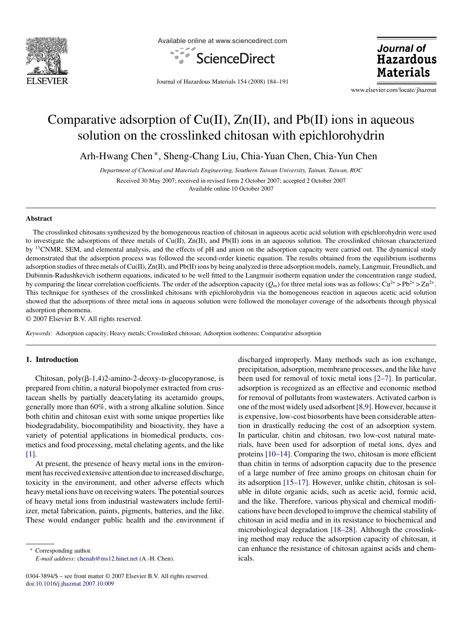

Available online at www.sciencedirect.com



Journal of **Hazardous Materials** 

Journal of Hazardous Materials 154 (2008) 184–191

www.elsevier.com/locate/jhazmat

# Comparative adsorption of  $Cu(II)$ ,  $Zn(II)$ , and  $Pb(II)$  ions in aqueous solution on the crosslinked chitosan with epichlorohydrin

Arh-Hwang Chen ∗, Sheng-Chang Liu, Chia-Yuan Chen, Chia-Yun Chen

*Department of Chemical and Materials Engineering, Southern Taiwan University, Tainan, Taiwan, ROC* Received 30 May 2007; received in revised form 2 October 2007; accepted 2 October 2007 Available online 10 October 2007

#### **Abstract**

The crosslinked chitosans synthesized by the homogeneous reaction of chitosan in aqueous acetic acid solution with epichlorohydrin were used to investigate the adsorptions of three metals of Cu(II), Zn(II), and Pb(II) ions in an aqueous solution. The crosslinked chitosan characterized by <sup>13</sup>CNMR, SEM, and elemental analysis, and the effects of pH and anion on the adsorption capacity were carried out. The dynamical study demonstrated that the adsorption process was followed the second-order kinetic equation. The results obtained from the equilibrium isotherms adsorption studies of three metals of Cu(II), Zn(II), and Pb(II) ions by being analyzed in three adsorption models, namely, Langmuir, Freundlich, and Dubinnin-Radushkevich isotherm equations, indicated to be well fitted to the Langmuir isotherm equation under the concentration range studied, by comparing the linear correlation coefficients. The order of the adsorption capacity  $(O_m)$  for three metal ions was as follows:  $Cu^{2+} > Pb^{2+} > Zn^{2+}$ . This technique for syntheses of the crosslinked chitosans with epichlorohydrin via the homogeneous reaction in aqueous acetic acid solution showed that the adsorptions of three metal ions in aqueous solution were followed the monolayer coverage of the adsorbents through physical adsorption phenomena.

© 2007 Elsevier B.V. All rights reserved.

*Keywords:* Adsorption capacity; Heavy metals; Crosslinked chitosan; Adsorption isotherms; Comparative adsorption

## **1. Introduction**

Chitosan,  $poly(\beta-1, 4)$ 2-amino-2-deoxy-D-glucopyranose, is prepared from chitin, a natural biopolymer extracted from crustacean shells by partially deacetylating its acetamido groups, generally more than 60%, with a strong alkaline solution. Since both chitin and chitosan exist with some unique properties like biodegradability, biocompatibility and bioactivity, they have a variety of potential applications in biomedical products, cosmetics and food processing, metal chelating agents, and the like [\[1\].](#page-6-0)

At present, the presence of heavy metal ions in the environment has received extensive attention due to increased discharge, toxicity in the environment, and other adverse effects which heavy metal ions have on receiving waters. The potential sources of heavy metal ions from industrial wastewaters include fertilizer, metal fabrication, paints, pigments, batteries, and the like. These would endanger public health and the environment if

Corresponding author. *E-mail address:* [chenah@ms12.hinet.net](mailto:chenah@ms12.hinet.net) (A.-H. Chen).

0304-3894/\$ – see front matter © 2007 Elsevier B.V. All rights reserved. doi[:10.1016/j.jhazmat.2007.10.009](dx.doi.org/10.1016/j.jhazmat.2007.10.009)

discharged improperly. Many methods such as ion exchange, precipitation, adsorption, membrane processes, and the like have been used for removal of toxic metal ions [\[2–7\].](#page-6-0) In particular, adsorption is recognized as an effective and economic method for removal of pollutants from wastewaters. Activated carbon is one of the most widely used adsorbent[\[8,9\]. H](#page-6-0)owever, because it is expensive, low-cost biosorbents have been considerable attention in drastically reducing the cost of an adsorption system. In particular, chitin and chitosan, two low-cost natural materials, have been used for adsorption of metal ions, dyes and proteins [\[10–14\]. C](#page-6-0)omparing the two, chitosan is more efficient than chitin in terms of adsorption capacity due to the presence of a large number of free amino groups on chitosan chain for its adsorption [\[15–17\]. H](#page-6-0)owever, unlike chitin, chitosan is soluble in dilute organic acids, such as acetic acid, formic acid, and the like. Therefore, various physical and chemical modifications have been developed to improve the chemical stability of chitosan in acid media and in its resistance to biochemical and microbiological degradation [\[18–28\].](#page-6-0) Although the crosslinking method may reduce the adsorption capacity of chitosan, it can enhance the resistance of chitosan against acids and chemicals.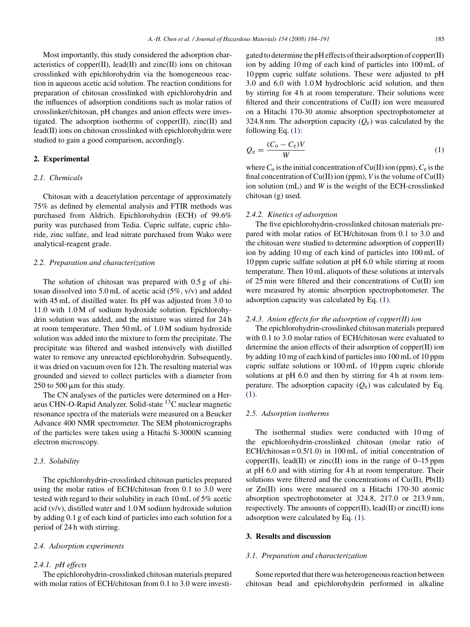Most importantly, this study considered the adsorption characteristics of copper $(II)$ , lead $(II)$  and zinc $(II)$  ions on chitosan crosslinked with epichlorohydrin via the homogeneous reaction in aqueous acetic acid solution. The reaction conditions for preparation of chitosan crosslinked with epichlorohydrin and the influences of adsorption conditions such as molar ratios of crosslinker/chitosan, pH changes and anion effects were investigated. The adsorption isotherms of copper $(II)$ , zinc $(II)$  and lead(II) ions on chitosan crosslinked with epichlorohydrin were studied to gain a good comparison, accordingly.

# **2. Experimental**

## *2.1. Chemicals*

Chitosan with a deacetylation percentage of approximately 75% as defined by elemental analysis and FTIR methods was purchased from Aldrich. Epichlorohydrin (ECH) of 99.6% purity was purchased from Tedia. Cupric sulfate, cupric chloride, zinc sulfate, and lead nitrate purchased from Wako were analytical-reagent grade.

#### *2.2. Preparation and characterization*

The solution of chitosan was prepared with 0.5 g of chitosan dissolved into 5.0 mL of acetic acid (5%, v/v) and added with 45 mL of distilled water. Its pH was adjusted from 3.0 to 11.0 with 1.0 M of sodium hydroxide solution. Epichlorohydrin solution was added, and the mixture was stirred for 24 h at room temperature. Then 50 mL of 1.0 M sodium hydroxide solution was added into the mixture to form the precipitate. The precipitate was filtered and washed intensively with distilled water to remove any unreacted epichlorohydrin. Subsequently, it was dried on vacuum oven for 12 h. The resulting material was grounded and sieved to collect particles with a diameter from 250 to 500  $\mu$ m for this study.

The CN analyses of the particles were determined on a Heraeus CHN-O-Rapid Analyzer. Solid-state 13C nuclear magnetic resonance spectra of the materials were measured on a Beucker Advance 400 NMR spectrometer. The SEM photomicrographs of the particles were taken using a Hitachi S-3000N scanning electron microscopy.

#### *2.3. Solubility*

The epichlorohydrin-crosslinked chitosan particles prepared using the molar ratios of ECH/chitosan from 0.1 to 3.0 were tested with regard to their solubility in each 10 mL of 5% acetic acid (v/v), distilled water and 1.0 M sodium hydroxide solution by adding 0.1 g of each kind of particles into each solution for a period of 24 h with stirring.

#### *2.4. Adsorption experiments*

#### *2.4.1. pH effects*

The epichlorohydrin-crosslinked chitosan materials prepared with molar ratios of ECH/chitosan from 0.1 to 3.0 were investigated to determine the pH effects of their adsorption of copper(II) ion by adding 10 mg of each kind of particles into 100 mL of 10 ppm cupric sulfate solutions. These were adjusted to pH 3.0 and 6.0 with 1.0 M hydrochloric acid solution, and then by stirring for 4 h at room temperature. Their solutions were filtered and their concentrations of Cu(II) ion were measured on a Hitachi 170-30 atomic absorption spectrophotometer at 324.8 nm. The adsorption capacity  $(O_e)$  was calculated by the following Eq. (1):

$$
Q_e = \frac{(C_o - C_e)V}{W}
$$
 (1)

where  $C_0$  is the initial concentration of Cu(II) ion (ppm),  $C_e$  is the final concentration of Cu(II) ion (ppm), *V* is the volume of Cu(II) ion solution (mL) and *W* is the weight of the ECH-crosslinked chitosan (g) used.

#### *2.4.2. Kinetics of adsorption*

The five epichlorohydrin-crosslinked chitosan materials prepared with molar ratios of ECH/chitosan from 0.1 to 3.0 and the chitosan were studied to determine adsorption of copper(II) ion by adding 10 mg of each kind of particles into 100 mL of 10 ppm cupric sulfate solution at pH 6.0 while stirring at room temperature. Then 10 mL aliquots of these solutions at intervals of 25 min were filtered and their concentrations of Cu(II) ion were measured by atomic absorption spectrophotometer. The adsorption capacity was calculated by Eq. (1).

#### *2.4.3. Anion effects for the adsorption of copper(II) ion*

The epichlorohydrin-crosslinked chitosan materials prepared with 0.1 to 3.0 molar ratios of ECH/chitosan were evaluated to determine the anion effects of their adsorption of copper(II) ion by adding 10 mg of each kind of particles into 100 mL of 10 ppm cupric sulfate solutions or 100 mL of 10 ppm cupric chloride solutions at pH 6.0 and then by stirring for 4 h at room temperature. The adsorption capacity  $(Q_e)$  was calculated by Eq. (1).

#### *2.5. Adsorption isotherms*

The isothermal studies were conducted with 10 mg of the epichlorohydrin-crosslinked chitosan (molar ratio of ECH/chitosan =  $0.5/1.0$ ) in 100 mL of initial concentration of copper(II), lead(II) or zinc(II) ions in the range of  $0-15$  ppm at pH 6.0 and with stirring for 4 h at room temperature. Their solutions were filtered and the concentrations of  $Cu(II)$ ,  $Pb(II)$ or Zn(II) ions were measured on a Hitachi 170-30 atomic absorption spectrophotometer at 324.8, 217.0 or 213.9 nm, respectively. The amounts of copper $(II)$ , lead $(II)$  or zinc $(II)$  ions adsorption were calculated by Eq. (1).

#### **3. Results and discussion**

#### *3.1. Preparation and characterization*

Some reported that there was heterogeneous reaction between chitosan bead and epichlorohydrin performed in alkaline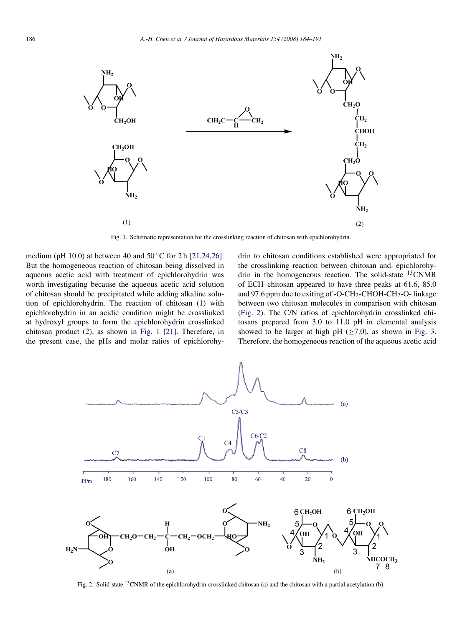

Fig. 1. Schematic representation for the crosslinking reaction of chitosan with epichlorohydrin.

medium (pH 10.0) at between 40 and  $50^{\circ}$ C for 2 h [\[21,24,26\].](#page-7-0) But the homogeneous reaction of chitosan being dissolved in aqueous acetic acid with treatment of epichlorohydrin was worth investigating because the aqueous acetic acid solution of chitosan should be precipitated while adding alkaline solution of epichlorohydrin. The reaction of chitosan (1) with epichlorohydrin in an acidic condition might be crosslinked at hydroxyl groups to form the epichlorohydrin crosslinked chitosan product (2), as shown in Fig. 1 [\[21\].](#page-7-0) Therefore, in the present case, the pHs and molar ratios of epichlorohydrin to chitosan conditions established were appropriated for the crosslinking reaction between chitosan and. epichlorohydrin in the homogeneous reaction. The solid-state <sup>13</sup>CNMR of ECH–chitosan appeared to have three peaks at 61.6, 85.0 and 97.6 ppm due to exiting of -O-CH<sub>2</sub>-CHOH-CH<sub>2</sub>-O- linkage between two chitosan molecules in comparison with chitosan (Fig. 2). The C/N ratios of epichlorohydrin crosslinked chitosans prepared from 3.0 to 11.0 pH in elemental analysis showed to be larger at high pH  $(>7.0)$ , as shown in [Fig. 3.](#page-3-0) Therefore, the homogeneous reaction of the aqueous acetic acid



Fig. 2. Solid-state <sup>13</sup>CNMR of the epichlorohydrin-crosslinked chitosan (a) and the chitosan with a partial acetylation (b).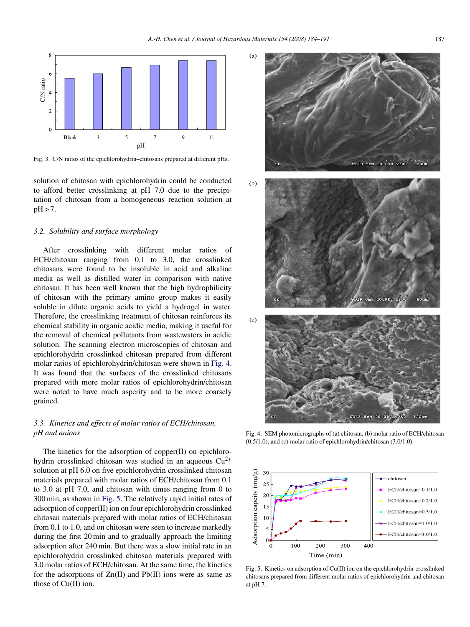<span id="page-3-0"></span>

Fig. 3. C/N ratios of the epichlorohydrin–chitosans prepared at different pHs.

solution of chitosan with epichlorohydrin could be conducted to afford better crosslinking at pH 7.0 due to the precipitation of chitosan from a homogeneous reaction solution at  $pH > 7$ .

## *3.2. Solubility and surface morphology*

After crosslinking with different molar ratios of ECH/chitosan ranging from 0.1 to 3.0, the crosslinked chitosans were found to be insoluble in acid and alkaline media as well as distilled water in comparison with native chitosan. It has been well known that the high hydrophilicity of chitosan with the primary amino group makes it easily soluble in dilute organic acids to yield a hydrogel in water. Therefore, the crosslinking treatment of chitosan reinforces its chemical stability in organic acidic media, making it useful for the removal of chemical pollutants from wastewaters in acidic solution. The scanning electron microscopies of chitosan and epichlorohydrin crosslinked chitosan prepared from different molar ratios of epichlorohydrin/chitosan were shown in Fig. 4. It was found that the surfaces of the crosslinked chitosans prepared with more molar ratios of epichlorohydrin/chitosan were noted to have much asperity and to be more coarsely grained.

# *3.3. Kinetics and effects of molar ratios of ECH/chitosan, pH and anions*

The kinetics for the adsorption of copper(II) on epichlorohydrin crosslinked chitosan was studied in an aqueous  $Cu^{2+}$ solution at pH 6.0 on five epichlorohydrin crosslinked chitosan materials prepared with molar ratios of ECH/chitosan from 0.1 to 3.0 at pH 7.0, and chitosan with times ranging from 0 to 300 min, as shown in Fig. 5. The relatively rapid initial rates of adsorption of copper(II) ion on four epichlorohydrin crosslinked chitosan materials prepared with molar ratios of ECH/chitosan from 0.1 to 1.0, and on chitosan were seen to increase markedly during the first 20 min and to gradually approach the limiting adsorption after 240 min. But there was a slow initial rate in an epichlorohydrin crosslinked chitosan materials prepared with 3.0 molar ratios of ECH/chitosan. At the same time, the kinetics for the adsorptions of  $Zn(II)$  and  $Pb(II)$  ions were as same as those of Cu(II) ion.



Fig. 4. SEM photomicrographs of (a) chitosan, (b) molar ratio of ECH/chitosan (0.5/1.0), and (c) molar ratio of epichlorohydrin/chitosan (3.0/1.0).



Fig. 5. Kinetics on adsorption of Cu(II) ion on the epichlorohydrin-crosslinked chitosans prepared from different molar ratios of epichlorohydrin and chitosan at pH 7.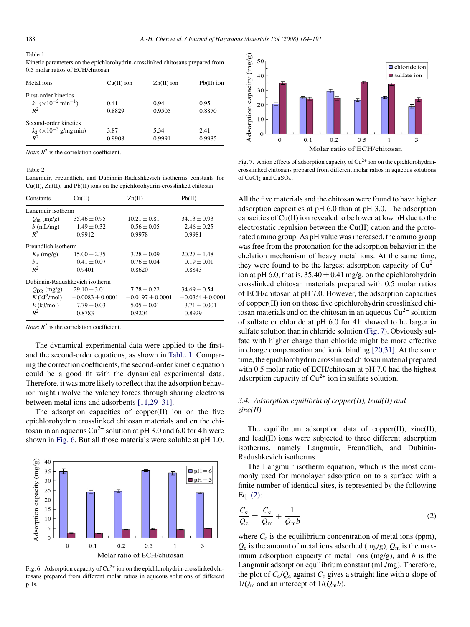#### <span id="page-4-0"></span>Table 1

Kinetic parameters on the epichlorohydrin-crosslinked chitosans prepared from 0.5 molar ratios of ECH/chitosan

| Metal ions                                            | $Cu(II)$ ion | $Zn(II)$ ion | $Pb(II)$ ion |
|-------------------------------------------------------|--------------|--------------|--------------|
| First-order kinetics                                  |              |              |              |
| $k_1$ ( $\times$ 10 <sup>-2</sup> min <sup>-1</sup> ) | 0.41         | 0.94         | 0.95         |
| $R^2$                                                 | 0.8829       | 0.9505       | 0.8870       |
| Second-order kinetics                                 |              |              |              |
| $k_2$ (×10 <sup>-3</sup> g/mg min)                    | 3.87         | 5.34         | 2.41         |
| $R^2$                                                 | 0.9908       | 0.9991       | 0.9985       |

*Note*:  $R^2$  is the correlation coefficient.

#### Table 2

Langmuir, Freundlich, and Dubinnin-Radushkevich isotherms constants for Cu(II), Zn(II), and Pb(II) ions on the epichlorohydrin-crosslinked chitosan

| Constants                  | Cu(II)                         | Zn(II)               | Pb(II)               |
|----------------------------|--------------------------------|----------------------|----------------------|
| Langmuir isotherm          |                                |                      |                      |
| $Q_{\rm m}$ (mg/g)         | $35.46 \pm 0.95$               | $10.21 \pm 0.81$     | $34.13 \pm 0.93$     |
| $b$ (mL/mg)                | $1.49 \pm 0.32$                | $0.56 \pm 0.05$      | $2.46 \pm 0.25$      |
| $R^2$                      | 0.9912                         | 0.9978               | 0.9981               |
| Freundlich isotherm        |                                |                      |                      |
| $K_F$ (mg/g)               | $15.00 \pm 2.35$               | $3.28 \pm 0.09$      | $20.27 \pm 1.48$     |
| $b_{\rm F}$                | $0.41 \pm 0.07$                | $0.76 \pm 0.04$      | $0.19 \pm 0.01$      |
| $R^2$                      | 0.9401                         | 0.8620               | 0.8843               |
|                            | Dubinnin-Radushkevich isotherm |                      |                      |
| $Q_{\text{DR}}$ (mg/g)     | $29.10 \pm 3.01$               | $7.78 \pm 0.22$      | $34.69 \pm 0.54$     |
| $K$ (kJ <sup>2</sup> /mol) | $-0.0083 \pm 0.0001$           | $-0.0197 \pm 0.0001$ | $-0.0364 \pm 0.0001$ |
| $E$ (kJ/mol)               | $7.79 \pm 0.03$                | $5.05 \pm 0.01$      | $3.71 \pm 0.001$     |
| $R^2$                      | 0.8783                         | 0.9204               | 0.8929               |

*Note*:  $R^2$  is the correlation coefficient.

The dynamical experimental data were applied to the firstand the second-order equations, as shown in Table 1. Comparing the correction coefficients, the second-order kinetic equation could be a good fit with the dynamical experimental data. Therefore, it was more likely to reflect that the adsorption behavior might involve the valency forces through sharing electrons between metal ions and adsorbents [\[11,29–31\].](#page-6-0)

The adsorption capacities of copper(II) ion on the five epichlorohydrin crosslinked chitosan materials and on the chitosan in an aqueous  $Cu^{2+}$  solution at pH 3.0 and 6.0 for 4 h were shown in Fig. 6. But all those materials were soluble at pH 1.0.



Fig. 6. Adsorption capacity of  $Cu^{2+}$  ion on the epichlorohydrin-crosslinked chitosans prepared from different molar ratios in aqueous solutions of different pHs.



Fig. 7. Anion effects of adsorption capacity of  $Cu^{2+}$  ion on the epichlorohydrincrosslinked chitosans prepared from different molar ratios in aqueous solutions of CuCl<sub>2</sub> and CuSO<sub>4</sub>.

All the five materials and the chitosan were found to have higher adsorption capacities at pH 6.0 than at pH 3.0. The adsorption capacities of Cu(II) ion revealed to be lower at low pH due to the electrostatic repulsion between the Cu(II) cation and the protonated amino group. As pH value was increased, the amino group was free from the protonation for the adsorption behavior in the chelation mechanism of heavy metal ions. At the same time, they were found to be the largest adsorption capacity of  $Cu^{2+}$ ion at pH 6.0, that is,  $35.40 \pm 0.41$  mg/g, on the epichlorohydrin crosslinked chitosan materials prepared with 0.5 molar ratios of ECH/chitosan at pH 7.0. However, the adsorption capacities of copper(II) ion on those five epichlorohydrin crosslinked chitosan materials and on the chitosan in an aqueous  $Cu^{2+}$  solution of sulfate or chloride at pH 6.0 for 4 h showed to be larger in sulfate solution than in chloride solution (Fig. 7). Obviously sulfate with higher charge than chloride might be more effective in charge compensation and ionic binding [\[20,31\].](#page-6-0) At the same time, the epichlorohydrin crosslinked chitosan material prepared with 0.5 molar ratio of ECH/chitosan at pH 7.0 had the highest adsorption capacity of  $Cu^{2+}$  ion in sulfate solution.

# *3.4. Adsorption equilibria of copper(II), lead(II) and zinc(II)*

The equilibrium adsorption data of copper $(II)$ , zinc $(II)$ , and lead(II) ions were subjected to three different adsorption isotherms, namely Langmuir, Freundlich, and Dubinin-Radushkevich isotherms.

The Langmuir isotherm equation, which is the most commonly used for monolayer adsorption on to a surface with a finite number of identical sites, is represented by the following Eq. (2):

$$
\frac{C_{\rm e}}{Q_{\rm e}} = \frac{C_{\rm e}}{Q_{\rm m}} + \frac{1}{Q_{\rm m}b} \tag{2}
$$

where  $C_e$  is the equilibrium concentration of metal ions (ppm),  $Q_e$  is the amount of metal ions adsorbed (mg/g),  $Q_m$  is the maximum adsorption capacity of metal ions (mg/g), and *b* is the Langmuir adsorption equilibrium constant (mL/mg). Therefore, the plot of  $C_e/Q_e$  against  $C_e$  gives a straight line with a slope of  $1/Q<sub>m</sub>$  and an intercept of  $1/(Q<sub>m</sub>b)$ .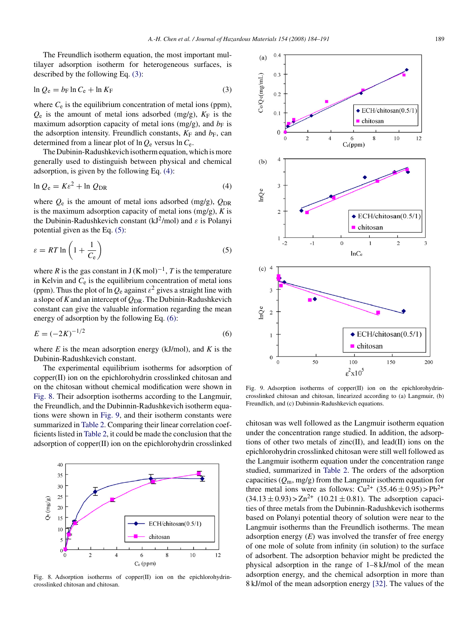The Freundlich isotherm equation, the most important multilayer adsorption isotherm for heterogeneous surfaces, is described by the following Eq. (3):

$$
\ln Q_e = b_F \ln C_e + \ln K_F \tag{3}
$$

where  $C_e$  is the equilibrium concentration of metal ions (ppm),  $Q_e$  is the amount of metal ions adsorbed (mg/g),  $K_F$  is the maximum adsorption capacity of metal ions (mg/g), and  $b_F$  is the adsorption intensity. Freundlich constants,  $K_F$  and  $b_F$ , can determined from a linear plot of  $\ln Q_e$  versus  $\ln C_e$ .

The Dubinin-Radushkevich isotherm equation, which is more generally used to distinguish between physical and chemical adsorption, is given by the following Eq. (4):

$$
\ln Q_e = K\varepsilon^2 + \ln Q_{\text{DR}} \tag{4}
$$

where  $Q_e$  is the amount of metal ions adsorbed (mg/g),  $Q_{\text{DR}}$ is the maximum adsorption capacity of metal ions (mg/g), *K* is the Dubinin-Radushkevich constant (kJ<sup>2</sup>/mol) and  $\varepsilon$  is Polanyi potential given as the Eq. (5):

$$
\varepsilon = RT \ln \left( 1 + \frac{1}{C_e} \right) \tag{5}
$$

where *R* is the gas constant in  $J(K \text{ mol})^{-1}$ , *T* is the temperature in Kelvin and  $\tilde{C}_e$  is the equilibrium concentration of metal ions (ppm). Thus the plot of ln  $Q_e$  against  $\varepsilon^2$  gives a straight line with a slope of*K*and an intercept of *Q*DR. The Dubinin-Radushkevich constant can give the valuable information regarding the mean energy of adsorption by the following Eq. (6):

$$
E = (-2K)^{-1/2}
$$
 (6)

where  $E$  is the mean adsorption energy (kJ/mol), and  $K$  is the Dubinin-Radushkevich constant.

The experimental equilibrium isotherms for adsorption of copper(II) ion on the epichlorohydrin crosslinked chitosan and on the chitosan without chemical modification were shown in Fig. 8. Their adsorption isotherms according to the Langmuir, the Freundlich, and the Dubinnin-Radushkevich isotherm equations were shown in Fig. 9, and their isotherm constants were summarized in [Table 2. C](#page-4-0)omparing their linear correlation coefficients listed in [Table 2, i](#page-4-0)t could be made the conclusion that the adsorption of copper(II) ion on the epichlorohydrin crosslinked



Fig. 8. Adsorption isotherms of copper $(II)$  ion on the epichlorohydrincrosslinked chitosan and chitosan.



Fig. 9. Adsorption isotherms of copper(II) ion on the epichlorohydrincrosslinked chitosan and chitosan, linearized according to (a) Langmuir, (b) Freundlich, and (c) Dubinnin-Radushkevich equations.

chitosan was well followed as the Langmuir isotherm equation under the concentration range studied. In addition, the adsorptions of other two metals of zinc(II), and lead(II) ions on the epichlorohydrin crosslinked chitosan were still well followed as the Langmuir isotherm equation under the concentration range studied, summarized in [Table 2.](#page-4-0) The orders of the adsorption capacities (*Q*m, mg/g) from the Langmuir isotherm equation for three metal ions were as follows:  $Cu^{2+}$  (35.46 ± 0.95) > Pb<sup>2+</sup>  $(34.13 \pm 0.93)$  >  $\text{Zn}^{2+}$  (10.21  $\pm$  0.81). The adsorption capacities of three metals from the Dubinnin-Radushkevich isotherms based on Polanyi potential theory of solution were near to the Langmuir isotherms than the Freundlich isotherms. The mean adsorption energy  $(E)$  was involved the transfer of free energy of one mole of solute from infinity (in solution) to the surface of adsorbent. The adsorption behavior might be predicted the physical adsorption in the range of 1–8 kJ/mol of the mean adsorption energy, and the chemical adsorption in more than 8 kJ/mol of the mean adsorption energy [\[32\]. T](#page-7-0)he values of the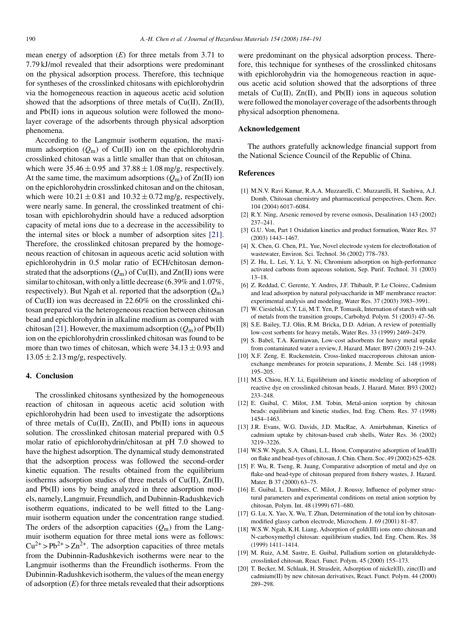<span id="page-6-0"></span>mean energy of adsorption (*E*) for three metals from 3.71 to 7.79 kJ/mol revealed that their adsorptions were predominant on the physical adsorption process. Therefore, this technique for syntheses of the crosslinked chitosans with epichlorohydrin via the homogeneous reaction in aqueous acetic acid solution showed that the adsorptions of three metals of Cu(II), Zn(II), and Pb(II) ions in aqueous solution were followed the monolayer coverage of the adsorbents through physical adsorption phenomena.

According to the Langmuir isotherm equation, the maximum adsorption  $(Q_m)$  of Cu(II) ion on the epichlorohydrin crosslinked chitosan was a little smaller than that on chitosan, which were  $35.46 \pm 0.95$  and  $37.88 \pm 1.08$  mg/g, respectively. At the same time, the maximum adsorptions  $(Q_m)$  of  $Zn(II)$  ion on the epichlorohydrin crosslinked chitosan and on the chitosan, which were  $10.21 \pm 0.81$  and  $10.32 \pm 0.72$  mg/g, respectively, were nearly same. In general, the crosslinked treatment of chitosan with epichlorohydrin should have a reduced adsorption capacity of metal ions due to a decrease in the accessibility to the internal sites or block a number of adsorption sites [\[21\].](#page-7-0) Therefore, the crosslinked chitosan prepared by the homogeneous reaction of chitosan in aqueous acetic acid solution with epichlorohydrin in 0.5 molar ratio of ECH/chitosan demonstrated that the adsorptions  $(Q_m)$  of Cu(II), and Zn(II) ions were similar to chitosan, with only a little decrease (6.39% and 1.07%, respectively). But Ngah et al. reported that the adsorption  $(Q<sub>m</sub>)$ of Cu(II) ion was decreased in 22.60% on the crosslinked chitosan prepared via the heterogeneous reaction between chitosan bead and epichlorohydrin in alkaline medium as compared with chitosan [\[21\]. H](#page-7-0)owever, the maximum adsorption  $(Q_m)$  of Pb(II) ion on the epichlorohydrin crosslinked chitosan was found to be more than two times of chitosan, which were  $34.13 \pm 0.93$  and  $13.05 \pm 2.13$  mg/g, respectively.

#### **4. Conclusion**

The crosslinked chitosans synthesized by the homogeneous reaction of chitosan in aqueous acetic acid solution with epichlorohydrin had been used to investigate the adsorptions of three metals of Cu(II), Zn(II), and Pb(II) ions in aqueous solution. The crosslinked chitosan material prepared with 0.5 molar ratio of epichlorohydrin/chitosan at pH 7.0 showed to have the highest adsorption. The dynamical study demonstrated that the adsorption process was followed the second-order kinetic equation. The results obtained from the equilibrium isotherms adsorption studies of three metals of Cu(II), Zn(II), and Pb(II) ions by being analyzed in three adsorption models, namely, Langmuir, Freundlich, and Dubinnin-Radushkevich isotherm equations, indicated to be well fitted to the Langmuir isotherm equation under the concentration range studied. The orders of the adsorption capacities (*Q*m) from the Langmuir isotherm equation for three metal ions were as follows:  $Cu^{2+} > Pb^{2+} > Zn^{2+}$ . The adsorption capacities of three metals from the Dubinnin-Radushkevich isotherms were near to the Langmuir isotherms than the Freundlich isotherms. From the Dubinnin-Radushkevich isotherm, the values of the mean energy of adsorption (*E*) for three metals revealed that their adsorptions

were predominant on the physical adsorption process. Therefore, this technique for syntheses of the crosslinked chitosans with epichlorohydrin via the homogeneous reaction in aqueous acetic acid solution showed that the adsorptions of three metals of  $Cu(II)$ ,  $Zn(II)$ , and  $Pb(II)$  ions in aqueous solution were followed the monolayer coverage of the adsorbents through physical adsorption phenomena.

# **Acknowledgement**

The authors gratefully acknowledge financial support from the National Science Council of the Republic of China.

#### **References**

- [1] M.N.V. Ravi Kumar, R.A.A. Muzzarelli, C. Muzzarelli, H. Sashiwa, A.J. Domb, Chitosan chemistry and pharmaceutical perspectives, Chem. Rev. 104 (2004) 6017–6084.
- [2] R.Y. Ning, Arsenic removed by reverse osmosis, Desalination 143 (2002) 237–241.
- [3] G.U. Von, Part 1 Oxidation kinetics and product formation, Water Res. 37 (2003) 1443–1467.
- [4] X. Chen, G. Chen, P.L. Yue, Novel electrode system for electroflotation of wastewater, Environ. Sci. Technol. 36 (2002) 778–783.
- [5] Z. Hu, L. Lei, Y. Li, Y. Ni, Chromium adsorption on high-performance activated carbons from aqueous solution, Sep. Purif. Technol. 31 (2003) 13–18.
- [6] Z. Reddad, C. Gerente, Y. Andres, J.F. Thibault, P. Le Cloirec, Cadmium and lead adsorption by natural polysaccharide in MF membrance reactor: experimental analysis and modeling, Water Res. 37 (2003) 3983–3991.
- [7] W. Ciesielski, C.Y. Lii, M.T. Yen, P. Tomasik, Internation of starch with salt of metals from the transition groups, Carbohyd. Polym. 51 (2003) 47–56.
- [8] S.E. Bailey, T.J. Olin, R.M. Bricka, D.D. Adrian, A review of potentially low-cost sorbents for heavy metals, Water Res. 33 (1999) 2469–2479.
- [9] S. Babel, T.A. Kurniawan, Low-cost adsorbents for heavy metal uptake from contaminated water a review, J. Hazard. Mater. B97 (2003) 219–243.
- [10] X.F. Zeng, E. Ruckenstein, Cross-linked maccroporous chitosan anionexchange membranes for protein separations, J. Membr. Sci. 148 (1998) 195–205.
- [11] M.S. Chiou, H.Y. Li, Equilibrium and kinetic modeling of adsorption of reactive dye on crosslinked chitosan beads, J. Hazard. Mater. B93 (2002) 233–248.
- [12] E. Guibal, C. Milot, J.M. Tobin, Metal-anion sorption by chitosan beads: equilibrium and kinetic studies, Ind. Eng. Chem. Res. 37 (1998) 1454–1463.
- [13] J.R. Evans, W.G. Davids, J.D. MacRae, A. Amirbahman, Kinetics of cadmium uptake by chitosan-based crab shells, Water Res. 36 (2002) 3219–3226.
- [14] W.S.W. Ngah, S.A. Ghani, L.L. Hoon, Comparative adsorption of lead(II) on flake and bead-tyes of chitosan, J. Chin. Chem. Soc. 49 (2002) 625–628.
- [15] F. Wu, R. Tseng, R. Juang, Comparative adsorption of metal and dye on flake-and bead-type of chitosan prepared from fishery wastes, J. Hazard. Mater. B 37 (2000) 63–75.
- [16] E. Guibal, L. Dambies, C. Milot, J. Roussy, Influence of polymer structural parameters and experimental conditions on metal anion sorption by chitosan, Polym. Int. 48 (1999) 671–680.
- [17] G. Lu, X. Yao, X. Wu, T. Zhan, Determination of the total ion by chitosanmodified glassy carbon electrode, Microchem. J. 69 (2001) 81–87.
- [18] W.S.W. Ngah, K.H. Liang, Adsorption of gold(III) ions onto chitosan and N-carboxymethyl chitosan: equilibrium studies, Ind. Eng. Chem. Res. 38 (1999) 1411–1414.
- [19] M. Ruiz, A.M. Sastre, E. Guibal, Palladium sortion on glutaraldehydecrosslinked chitosan, React. Funct. Polym. 45 (2000) 155–173.
- T. Becker, M. Schlaak, H. Strasdeit, Adsorption of nickel(II), zinc(II) and cadmium(II) by new chitosan derivatives, React. Funct. Polym. 44 (2000) 289–298.